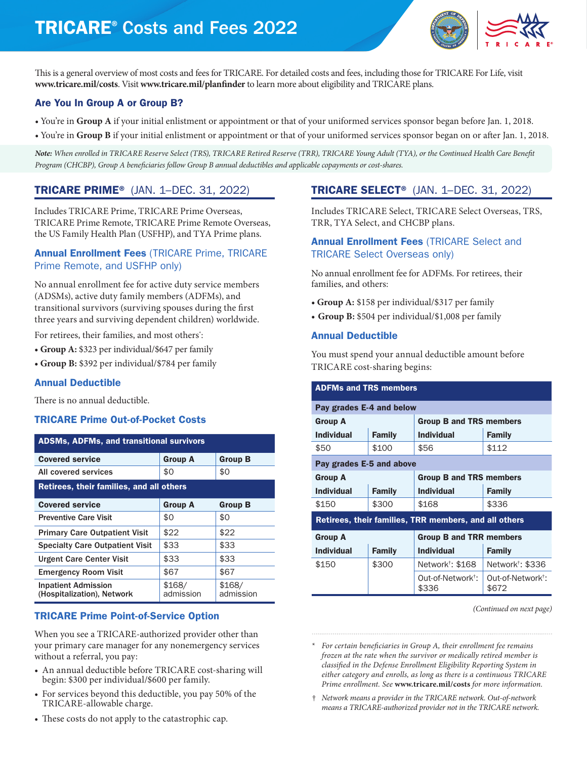# TRICARE® Costs and Fees 2022



This is a general overview of most costs and fees for TRICARE. For detailed costs and fees, including those for TRICARE For Life, visit **[www.tricare.mil/costs](http://www.tricare.mil/costs)**. Visit **[www.tricare.mil/planfinder](http://www.tricare.mil/planfinder)** to learn more about eligibility and TRICARE plans.

## Are You In Group A or Group B?

- You're in **Group A** if your initial enlistment or appointment or that of your uniformed services sponsor began before Jan. 1, 2018.
- You're in **Group B** if your initial enlistment or appointment or that of your uniformed services sponsor began on or after Jan. 1, 2018.

*Note: When enrolled in TRICARE Reserve Select (TRS), TRICARE Retired Reserve (TRR), TRICARE Young Adult (TYA), or the Continued Health Care Benefit Program (CHCBP), Group A beneficiaries follow Group B annual deductibles and applicable copayments or cost-shares.* 

## TRICARE PRIME® (JAN. 1–DEC. 31, 2022)

Includes TRICARE Prime, TRICARE Prime Overseas, TRICARE Prime Remote, TRICARE Prime Remote Overseas, the US Family Health Plan (USFHP), and TYA Prime plans.

### Annual Enrollment Fees (TRICARE Prime, TRICARE Prime Remote, and USFHP only)

No annual enrollment fee for active duty service members (ADSMs), active duty family members (ADFMs), and transitional survivors (surviving spouses during the first three years and surviving dependent children) worldwide.

For retirees, their families, and most others\* :

- **• Group A:** \$323 per individual/\$647 per family
- **• Group B:** \$392 per individual/\$784 per family

### Annual Deductible

There is no annual deductible.

### TRICARE Prime Out-of-Pocket Costs

| <b>ADSMs, ADFMs, and transitional survivors</b>          |                     |                     |  |  |
|----------------------------------------------------------|---------------------|---------------------|--|--|
| <b>Covered service</b>                                   | <b>Group A</b>      | <b>Group B</b>      |  |  |
| All covered services                                     | \$0                 | \$0                 |  |  |
| Retirees, their families, and all others                 |                     |                     |  |  |
| <b>Covered service</b>                                   | <b>Group A</b>      | <b>Group B</b>      |  |  |
| <b>Preventive Care Visit</b>                             | \$0                 | \$0                 |  |  |
| <b>Primary Care Outpatient Visit</b>                     | \$22                | \$22                |  |  |
| <b>Specialty Care Outpatient Visit</b>                   | \$33                | \$33                |  |  |
| <b>Urgent Care Center Visit</b>                          | \$33                | \$33                |  |  |
| <b>Emergency Room Visit</b>                              | \$67                | \$67                |  |  |
| <b>Inpatient Admission</b><br>(Hospitalization), Network | \$168/<br>admission | \$168/<br>admission |  |  |

### TRICARE Prime Point-of-Service Option

When you see a TRICARE-authorized provider other than your primary care manager for any nonemergency services without a referral, you pay:

- An annual deductible before TRICARE cost-sharing will begin: \$300 per individual/\$600 per family.
- For services beyond this deductible, you pay 50% of the TRICARE-allowable charge.
- These costs do not apply to the catastrophic cap.

## TRICARE SELECT® (JAN. 1–DEC. 31, 2022)

Includes TRICARE Select, TRICARE Select Overseas, TRS, TRR, TYA Select, and CHCBP plans.

### Annual Enrollment Fees (TRICARE Select and TRICARE Select Overseas only)

No annual enrollment fee for ADFMs. For retirees, their families, and others:

- **• Group A:** \$158 per individual/\$317 per family
- **• Group B:** \$504 per individual/\$1,008 per family

### Annual Deductible

You must spend your annual deductible amount before TRICARE cost-sharing begins:

| <b>ADFMs and TRS members</b>                          |                          |                                        |                                        |  |
|-------------------------------------------------------|--------------------------|----------------------------------------|----------------------------------------|--|
| Pay grades E-4 and below                              |                          |                                        |                                        |  |
| <b>Group A</b>                                        |                          | <b>Group B and TRS members</b>         |                                        |  |
| <b>Individual</b>                                     | <b>Family</b>            | <b>Individual</b>                      | <b>Family</b>                          |  |
| \$50                                                  | \$100                    | \$56                                   | \$112                                  |  |
|                                                       | Pay grades E-5 and above |                                        |                                        |  |
| <b>Group A</b>                                        |                          | <b>Group B and TRS members</b>         |                                        |  |
| <b>Individual</b>                                     | <b>Family</b>            | <b>Individual</b>                      | <b>Family</b>                          |  |
| \$150                                                 | \$300                    | \$168                                  | \$336                                  |  |
| Retirees, their families, TRR members, and all others |                          |                                        |                                        |  |
| <b>Group A</b>                                        |                          | <b>Group B and TRR members</b>         |                                        |  |
| <b>Individual</b>                                     | <b>Family</b>            | <b>Individual</b>                      | <b>Family</b>                          |  |
| \$150                                                 | \$300                    | Network <sup>†</sup> : \$168           | Network <sup>†</sup> : \$336           |  |
|                                                       |                          | Out-of-Network <sup>†</sup> :<br>\$336 | Out-of-Network <sup>t</sup> :<br>\$672 |  |

*(Continued on next page)*

\* *For certain beneficiaries in Group A, their enrollment fee remains frozen at the rate when the survivor or medically retired member is classified in the Defense Enrollment Eligibility Reporting System in either category and enrolls, as long as there is a continuous TRICARE Prime enrollment. See* **[www.tricare.mil/costs](http://www.tricare.mil/costs)** *for more information.* 

† *Network means a provider in the TRICARE network. Out-of-network means a TRICARE-authorized provider not in the TRICARE network.*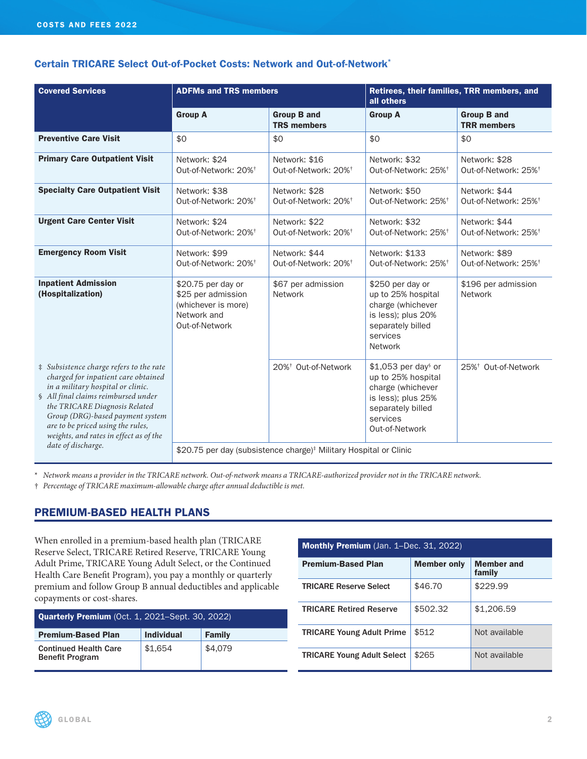## Certain TRICARE Select Out-of-Pocket Costs: Network and Out-of-Network\*

| <b>Covered Services</b>                                                                                                                                                                                                                                                                                                              | <b>ADFMs and TRS members</b>                                                                     |                                                   | Retirees, their families, TRR members, and<br>all others                                                                                |                                                   |
|--------------------------------------------------------------------------------------------------------------------------------------------------------------------------------------------------------------------------------------------------------------------------------------------------------------------------------------|--------------------------------------------------------------------------------------------------|---------------------------------------------------|-----------------------------------------------------------------------------------------------------------------------------------------|---------------------------------------------------|
|                                                                                                                                                                                                                                                                                                                                      | <b>Group A</b>                                                                                   | <b>Group B and</b><br><b>TRS members</b>          | <b>Group A</b>                                                                                                                          | <b>Group B and</b><br><b>TRR</b> members          |
| <b>Preventive Care Visit</b>                                                                                                                                                                                                                                                                                                         | \$0                                                                                              | \$0                                               | \$0                                                                                                                                     | \$0                                               |
| <b>Primary Care Outpatient Visit</b>                                                                                                                                                                                                                                                                                                 | Network: \$24<br>Out-of-Network: 20% <sup>†</sup>                                                | Network: \$16<br>Out-of-Network: 20% <sup>+</sup> | Network: \$32<br>Out-of-Network: 25% <sup>+</sup>                                                                                       | Network: \$28<br>Out-of-Network: 25% <sup>†</sup> |
| <b>Specialty Care Outpatient Visit</b>                                                                                                                                                                                                                                                                                               | Network: \$38<br>Out-of-Network: 20% <sup>+</sup>                                                | Network: \$28<br>Out-of-Network: 20% <sup>+</sup> | Network: \$50<br>Out-of-Network: 25% <sup>+</sup>                                                                                       | Network: \$44<br>Out-of-Network: 25% <sup>†</sup> |
| <b>Urgent Care Center Visit</b>                                                                                                                                                                                                                                                                                                      | Network: \$24<br>Out-of-Network: 20% <sup>+</sup>                                                | Network: \$22<br>Out-of-Network: 20% <sup>+</sup> | Network: \$32<br>Out-of-Network: 25% <sup>+</sup>                                                                                       | Network: \$44<br>Out-of-Network: 25% <sup>+</sup> |
| <b>Emergency Room Visit</b>                                                                                                                                                                                                                                                                                                          | Network: \$99<br>Out-of-Network: 20% <sup>+</sup>                                                | Network: \$44<br>Out-of-Network: 20% <sup>+</sup> | Network: \$133<br>Out-of-Network: 25% <sup>+</sup>                                                                                      | Network: \$89<br>Out-of-Network: 25% <sup>†</sup> |
| <b>Inpatient Admission</b><br>(Hospitalization)                                                                                                                                                                                                                                                                                      | \$20.75 per day or<br>\$25 per admission<br>(whichever is more)<br>Network and<br>Out-of-Network | \$67 per admission<br><b>Network</b>              | \$250 per day or<br>up to 25% hospital<br>charge (whichever<br>is less); plus 20%<br>separately billed<br>services<br><b>Network</b>    | \$196 per admission<br>Network                    |
| # Subsistence charge refers to the rate<br>charged for inpatient care obtained<br>in a military hospital or clinic.<br>§ All final claims reimbursed under<br>the TRICARE Diagnosis Related<br>Group (DRG)-based payment system<br>are to be priced using the rules,<br>weights, and rates in effect as of the<br>date of discharge. |                                                                                                  | 20% <sup>†</sup> Out-of-Network                   | $$1,053$ per day or<br>up to 25% hospital<br>charge (whichever<br>is less); plus 25%<br>separately billed<br>services<br>Out-of-Network | 25% <sup>†</sup> Out-of-Network                   |
|                                                                                                                                                                                                                                                                                                                                      | \$20.75 per day (subsistence charge) <sup>#</sup> Military Hospital or Clinic                    |                                                   |                                                                                                                                         |                                                   |

\* *Network means a provider in the TRICARE network. Out-of-network means a TRICARE-authorized provider not in the TRICARE network.*

† *Percentage of TRICARE maximum-allowable charge after annual deductible is met.* 

### PREMIUM-BASED HEALTH PLANS

When enrolled in a premium-based health plan (TRICARE Reserve Select, TRICARE Retired Reserve, TRICARE Young Adult Prime, TRICARE Young Adult Select, or the Continued Health Care Benefit Program), you pay a monthly or quarterly premium and follow Group B annual deductibles and applicable copayments or cost-shares.

| <b>Quarterly Premium</b> (Oct. 1, 2021–Sept. 30, 2022) |                   |               |
|--------------------------------------------------------|-------------------|---------------|
| <b>Premium-Based Plan</b>                              | <b>Individual</b> | <b>Family</b> |
| <b>Continued Health Care</b><br><b>Benefit Program</b> | \$1,654           | \$4,079       |

| <b>Monthly Premium</b> (Jan. 1–Dec. 31, 2022) |                    |                             |  |
|-----------------------------------------------|--------------------|-----------------------------|--|
| <b>Premium-Based Plan</b>                     | <b>Member only</b> | <b>Member and</b><br>family |  |
| <b>TRICARE Reserve Select</b>                 | \$46.70            | \$229.99                    |  |
| <b>TRICARE Retired Reserve</b>                | \$502.32           | \$1,206.59                  |  |
| <b>TRICARE Young Adult Prime</b>              | \$512              | Not available               |  |
| <b>TRICARE Young Adult Select</b>             | \$265              | Not available               |  |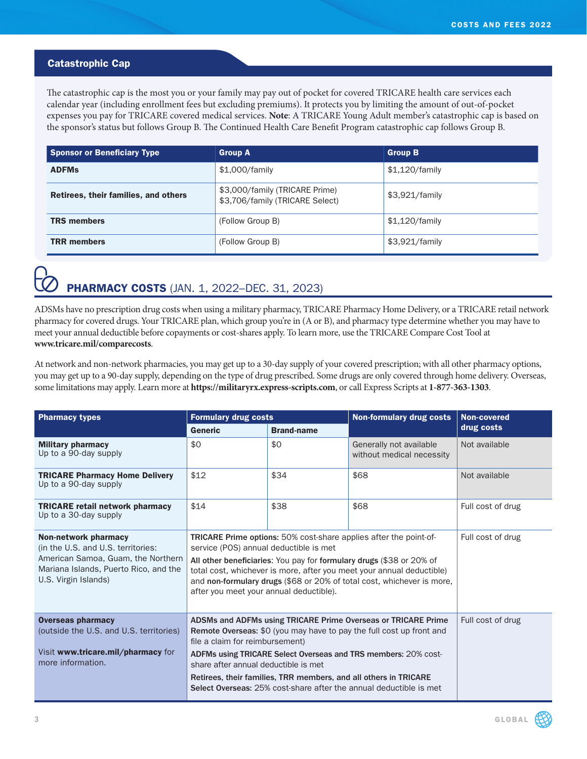## Catastrophic Cap

The catastrophic cap is the most you or your family may pay out of pocket for covered TRICARE health care services each calendar year (including enrollment fees but excluding premiums). It protects you by limiting the amount of out-of-pocket expenses you pay for TRICARE covered medical services. **Note**: A TRICARE Young Adult member's catastrophic cap is based on the sponsor's status but follows Group B. The Continued Health Care Benefit Program catastrophic cap follows Group B.

| <b>Sponsor or Beneficiary Type</b>   | <b>Group A</b>                                                    | <b>Group B</b> |
|--------------------------------------|-------------------------------------------------------------------|----------------|
| <b>ADFMs</b>                         | \$1,000/family                                                    | \$1,120/family |
| Retirees, their families, and others | \$3,000/family (TRICARE Prime)<br>\$3,706/family (TRICARE Select) | \$3,921/family |
| <b>TRS members</b>                   | (Follow Group B)                                                  | \$1,120/family |
| <b>TRR</b> members                   | (Follow Group B)                                                  | \$3,921/family |

# **PHARMACY COSTS** (JAN. 1, 2022–DEC. 31, 2023)

ADSMs have no prescription drug costs when using a military pharmacy, TRICARE Pharmacy Home Delivery, or a TRICARE retail network pharmacy for covered drugs. Your TRICARE plan, which group you're in (A or B), and pharmacy type determine whether you may have to meet your annual deductible before copayments or cost-shares apply. To learn more, use the TRICARE Compare Cost Tool at **[www.tricare.mil/comparecosts](http://www.tricare.mil/comparecosts)**.

At network and non-network pharmacies, you may get up to a 30-day supply of your covered prescription; with all other pharmacy options, you may get up to a 90-day supply, depending on the type of drug prescribed. Some drugs are only covered through home delivery. Overseas, some limitations may apply. Learn more at **<https://militaryrx.express-scripts.com>**, or call Express Scripts at **1-877-363-1303**.

| <b>Pharmacy types</b>                                                                                                                                                    | <b>Formulary drug costs</b>                                                                                                                                                                                                                                                                                                                                                                                                  |                   | <b>Non-formulary drug costs</b>                      | <b>Non-covered</b> |
|--------------------------------------------------------------------------------------------------------------------------------------------------------------------------|------------------------------------------------------------------------------------------------------------------------------------------------------------------------------------------------------------------------------------------------------------------------------------------------------------------------------------------------------------------------------------------------------------------------------|-------------------|------------------------------------------------------|--------------------|
|                                                                                                                                                                          | <b>Generic</b>                                                                                                                                                                                                                                                                                                                                                                                                               | <b>Brand-name</b> |                                                      | drug costs         |
| <b>Military pharmacy</b><br>Up to a 90-day supply                                                                                                                        | \$0                                                                                                                                                                                                                                                                                                                                                                                                                          | \$0               | Generally not available<br>without medical necessity | Not available      |
| <b>TRICARE Pharmacy Home Delivery</b><br>Up to a 90-day supply                                                                                                           | \$12                                                                                                                                                                                                                                                                                                                                                                                                                         | \$34              | \$68                                                 | Not available      |
| <b>TRICARE retail network pharmacy</b><br>Up to a 30-day supply                                                                                                          | \$14                                                                                                                                                                                                                                                                                                                                                                                                                         | \$38              | \$68                                                 | Full cost of drug  |
| <b>Non-network pharmacy</b><br>(in the U.S. and U.S. territories:<br>American Samoa, Guam, the Northern<br>Mariana Islands, Puerto Rico, and the<br>U.S. Virgin Islands) | TRICARE Prime options: 50% cost-share applies after the point-of-<br>service (POS) annual deductible is met<br>All other beneficiaries: You pay for formulary drugs (\$38 or 20% of<br>total cost, whichever is more, after you meet your annual deductible)<br>and non-formulary drugs (\$68 or 20% of total cost, whichever is more,<br>after you meet your annual deductible).                                            |                   | Full cost of drug                                    |                    |
| <b>Overseas pharmacy</b><br>(outside the U.S. and U.S. territories)<br>Visit www.tricare.mil/pharmacy for<br>more information.                                           | ADSMs and ADFMs using TRICARE Prime Overseas or TRICARE Prime<br>Remote Overseas: \$0 (you may have to pay the full cost up front and<br>file a claim for reimbursement)<br>ADFMs using TRICARE Select Overseas and TRS members: 20% cost-<br>share after annual deductible is met<br>Retirees, their families, TRR members, and all others in TRICARE<br>Select Overseas: 25% cost-share after the annual deductible is met |                   | Full cost of drug                                    |                    |